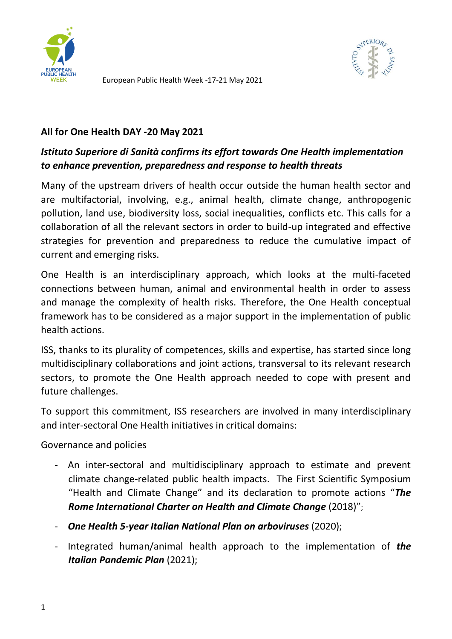

European Public Health Week -17-21 May 2021



#### **All for One Health DAY -20 May 2021**

# *Istituto Superiore di Sanità confirms its effort towards One Health implementation to enhance prevention, preparedness and response to health threats*

Many of the upstream drivers of health occur outside the human health sector and are multifactorial, involving, e.g., animal health, climate change, anthropogenic pollution, land use, biodiversity loss, social inequalities, conflicts etc. This calls for a collaboration of all the relevant sectors in order to build-up integrated and effective strategies for prevention and preparedness to reduce the cumulative impact of current and emerging risks.

One Health is an interdisciplinary approach, which looks at the multi-faceted connections between human, animal and environmental health in order to assess and manage the complexity of health risks. Therefore, the One Health conceptual framework has to be considered as a major support in the implementation of public health actions.

ISS, thanks to its plurality of competences, skills and expertise, has started since long multidisciplinary collaborations and joint actions, transversal to its relevant research sectors, to promote the One Health approach needed to cope with present and future challenges.

To support this commitment, ISS researchers are involved in many interdisciplinary and inter-sectoral One Health initiatives in critical domains:

### Governance and policies

- An inter-sectoral and multidisciplinary approach to estimate and prevent climate change-related public health impacts. The First Scientific Symposium "Health and Climate Change" and its declaration to promote actions "*The Rome International Charter on Health and Climate Change* (2018)";
- *One Health 5-year Italian National Plan on arboviruses* (2020);
- Integrated human/animal health approach to the implementation of *the Italian Pandemic Plan* (2021);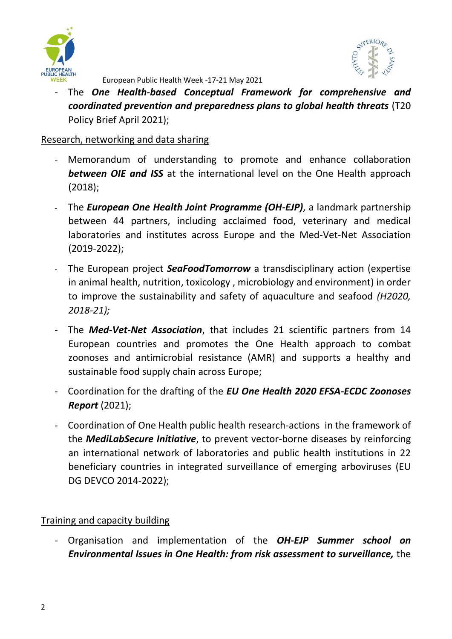



European Public Health Week -17-21 May 2021

- The *One Health-based Conceptual Framework for comprehensive and coordinated prevention and preparedness plans to global health threats* (T20 Policy Brief April 2021);

### Research, networking and data sharing

- Memorandum of understanding to promote and enhance collaboration *between OIE and ISS* at the international level on the One Health approach (2018);
- The *European One Health Joint Programme (OH-EJP)*, a landmark partnership between 44 partners, including acclaimed food, veterinary and medical laboratories and institutes across Europe and the Med-Vet-Net Association (2019-2022);
- The European project *SeaFoodTomorrow* a transdisciplinary action (expertise in animal health, nutrition, toxicology , microbiology and environment) in order to improve the sustainability and safety of aquaculture and seafood *(H2020, 2018-21);*
- The *Med-Vet-Net Association*, that includes 21 scientific partners from 14 European countries and promotes the One Health approach to combat zoonoses and antimicrobial resistance (AMR) and supports a healthy and sustainable food supply chain across Europe;
- Coordination for the drafting of the *EU One Health 2020 EFSA-ECDC Zoonoses Report* (2021);
- Coordination of One Health public health research-actions in the framework of the *MediLabSecure Initiative*, to prevent vector-borne diseases by reinforcing an international network of laboratories and public health institutions in 22 beneficiary countries in integrated surveillance of emerging arboviruses (EU DG DEVCO 2014-2022);

## Training and capacity building

- Organisation and implementation of the *OH-EJP Summer school on Environmental Issues in One Health: from risk assessment to surveillance,* the